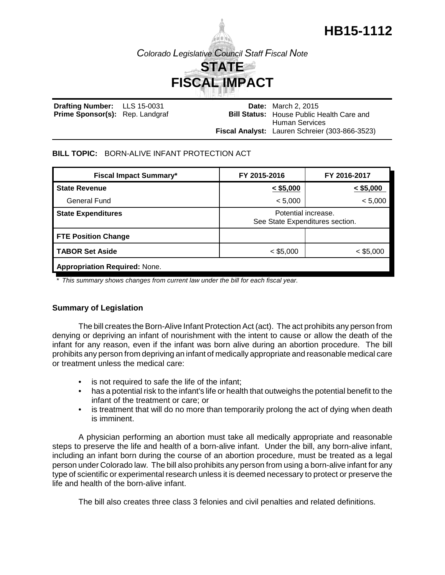# **HB15-1112**

*Colorado Legislative Council Staff Fiscal Note*



**Drafting Number:** Prime Sponsor(s): Rep. Landgraf LLS 15-0031 **Date:** March 2, 2015 **Bill Status:** House Public Health Care and **Fiscal Analyst:** Lauren Schreier (303-866-3523) Human Services

## **BILL TOPIC:** BORN-ALIVE INFANT PROTECTION ACT

| <b>Fiscal Impact Summary*</b>        | FY 2015-2016                                           | FY 2016-2017 |
|--------------------------------------|--------------------------------------------------------|--------------|
| <b>State Revenue</b>                 | $\leq$ \$5,000                                         | $<$ \$5,000  |
| <b>General Fund</b>                  | < 5,000                                                | < 5,000      |
| <b>State Expenditures</b>            | Potential increase.<br>See State Expenditures section. |              |
| <b>FTE Position Change</b>           |                                                        |              |
| <b>TABOR Set Aside</b>               | $<$ \$5,000                                            | $<$ \$5,000  |
| <b>Appropriation Required: None.</b> |                                                        |              |

*\* This summary shows changes from current law under the bill for each fiscal year.* 

## **Summary of Legislation**

The bill creates the Born-Alive Infant Protection Act (act). The act prohibits any person from denying or depriving an infant of nourishment with the intent to cause or allow the death of the infant for any reason, even if the infant was born alive during an abortion procedure. The bill prohibits any person from depriving an infant of medically appropriate and reasonable medical care or treatment unless the medical care:

- is not required to safe the life of the infant;
- has a potential risk to the infant's life or health that outweighs the potential benefit to the infant of the treatment or care; or
- is treatment that will do no more than temporarily prolong the act of dying when death is imminent.

A physician performing an abortion must take all medically appropriate and reasonable steps to preserve the life and health of a born-alive infant. Under the bill, any born-alive infant, including an infant born during the course of an abortion procedure, must be treated as a legal person under Colorado law. The bill also prohibits any person from using a born-alive infant for any type of scientific or experimental research unless it is deemed necessary to protect or preserve the life and health of the born-alive infant.

The bill also creates three class 3 felonies and civil penalties and related definitions.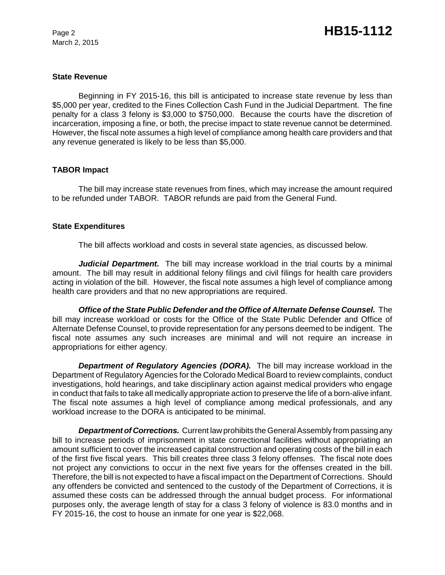March 2, 2015

#### **State Revenue**

Beginning in FY 2015-16, this bill is anticipated to increase state revenue by less than \$5,000 per year, credited to the Fines Collection Cash Fund in the Judicial Department. The fine penalty for a class 3 felony is \$3,000 to \$750,000. Because the courts have the discretion of incarceration, imposing a fine, or both, the precise impact to state revenue cannot be determined. However, the fiscal note assumes a high level of compliance among health care providers and that any revenue generated is likely to be less than \$5,000.

## **TABOR Impact**

The bill may increase state revenues from fines, which may increase the amount required to be refunded under TABOR. TABOR refunds are paid from the General Fund.

#### **State Expenditures**

The bill affects workload and costs in several state agencies, as discussed below.

Judicial Department. The bill may increase workload in the trial courts by a minimal amount. The bill may result in additional felony filings and civil filings for health care providers acting in violation of the bill. However, the fiscal note assumes a high level of compliance among health care providers and that no new appropriations are required.

*Office of the State Public Defender and the Office of Alternate Defense Counsel.* The bill may increase workload or costs for the Office of the State Public Defender and Office of Alternate Defense Counsel, to provide representation for any persons deemed to be indigent. The fiscal note assumes any such increases are minimal and will not require an increase in appropriations for either agency.

*Department of Regulatory Agencies (DORA).* The bill may increase workload in the Department of Regulatory Agencies for the Colorado Medical Board to review complaints, conduct investigations, hold hearings, and take disciplinary action against medical providers who engage in conduct that fails to take all medically appropriate action to preserve the life of a born-alive infant. The fiscal note assumes a high level of compliance among medical professionals, and any workload increase to the DORA is anticipated to be minimal.

*Department of Corrections.* Current law prohibits the General Assembly from passing any bill to increase periods of imprisonment in state correctional facilities without appropriating an amount sufficient to cover the increased capital construction and operating costs of the bill in each of the first five fiscal years. This bill creates three class 3 felony offenses. The fiscal note does not project any convictions to occur in the next five years for the offenses created in the bill. Therefore, the bill is not expected to have a fiscal impact on the Department of Corrections. Should any offenders be convicted and sentenced to the custody of the Department of Corrections, it is assumed these costs can be addressed through the annual budget process. For informational purposes only, the average length of stay for a class 3 felony of violence is 83.0 months and in FY 2015-16, the cost to house an inmate for one year is \$22,068.